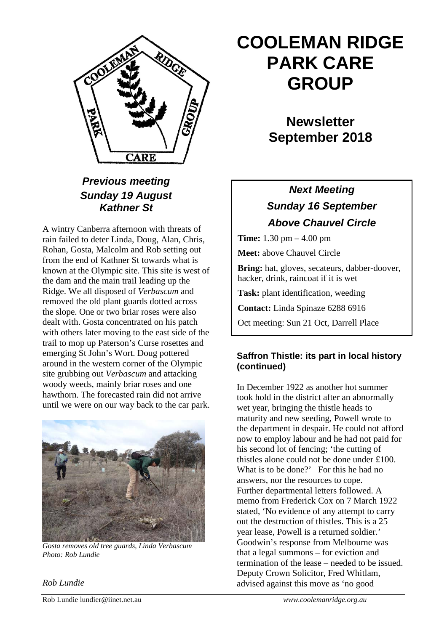

# *Previous meeting Sunday 19 August Kathner St*

A wintry Canberra afternoon with threats of rain failed to deter Linda, Doug, Alan, Chris, Rohan, Gosta, Malcolm and Rob setting out from the end of Kathner St towards what is known at the Olympic site. This site is west of the dam and the main trail leading up the Ridge. We all disposed of *Verbascum* and removed the old plant guards dotted across the slope. One or two briar roses were also dealt with. Gosta concentrated on his patch with others later moving to the east side of the trail to mop up Paterson's Curse rosettes and emerging St John's Wort. Doug pottered around in the western corner of the Olympic site grubbing out *Verbascum* and attacking woody weeds, mainly briar roses and one hawthorn. The forecasted rain did not arrive until we were on our way back to the car park.



*Gosta removes old tree guards, Linda Verbascum Photo: Rob Lundie*

# **COOLEMAN RIDGE PARK CARE GROUP**

# **Newsletter September 2018**

# *Next Meeting Sunday 16 September Above Chauvel Circle*

**Time:** 1.30 pm – 4.00 pm

**Meet:** above Chauvel Circle

**Bring:** hat, gloves, secateurs, dabber-doover, hacker, drink, raincoat if it is wet

**Task:** plant identification, weeding

**Contact:** Linda Spinaze 6288 6916

Oct meeting: Sun 21 Oct, Darrell Place

## **Saffron Thistle: its part in local history (continued)**

In December 1922 as another hot summer took hold in the district after an abnormally wet year, bringing the thistle heads to maturity and new seeding, Powell wrote to the department in despair. He could not afford now to employ labour and he had not paid for his second lot of fencing; 'the cutting of thistles alone could not be done under £100. What is to be done?' For this he had no answers, nor the resources to cope. Further departmental letters followed. A memo from Frederick Cox on 7 March 1922 stated, 'No evidence of any attempt to carry out the destruction of thistles. This is a 25 year lease, Powell is a returned soldier.' Goodwin's response from Melbourne was that a legal summons – for eviction and termination of the lease – needed to be issued. Deputy Crown Solicitor, Fred Whitlam, advised against this move as 'no good

*Rob Lundie*

Rob Lundie lundier@iinet.net.au *www.coolemanridge.org.au*